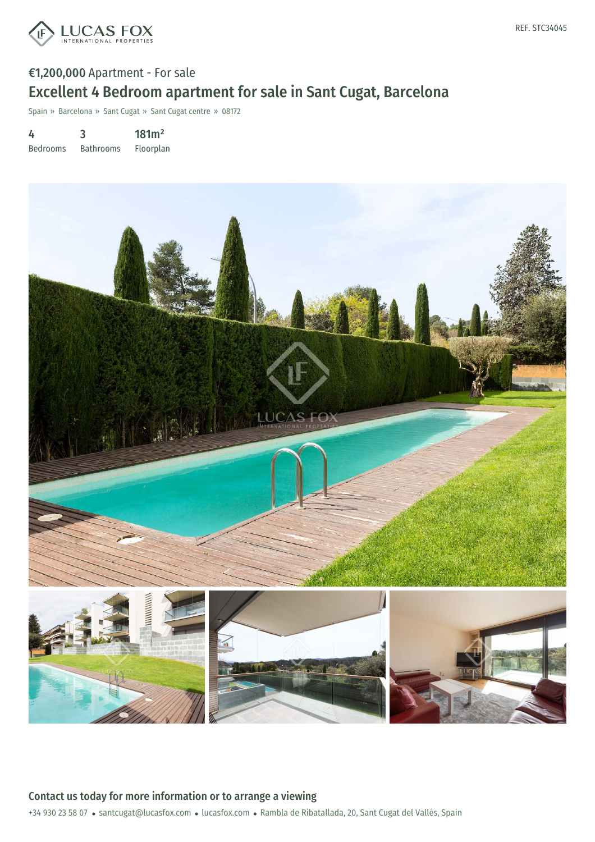

# €1,200,000 Apartment - For sale Excellent 4 Bedroom apartment for sale in Sant Cugat, Barcelona

Spain » Barcelona » Sant Cugat » Sant Cugat centre » 08172

4 Bedrooms 3 Bathrooms 181m² Floorplan



Contact us today for more information or to arrange a viewing

+34 930 23 58 07 · santcugat@lucasfox.com · lucasfox.com · Rambla de Ribatallada, 20, Sant Cugat del Vallés, Spain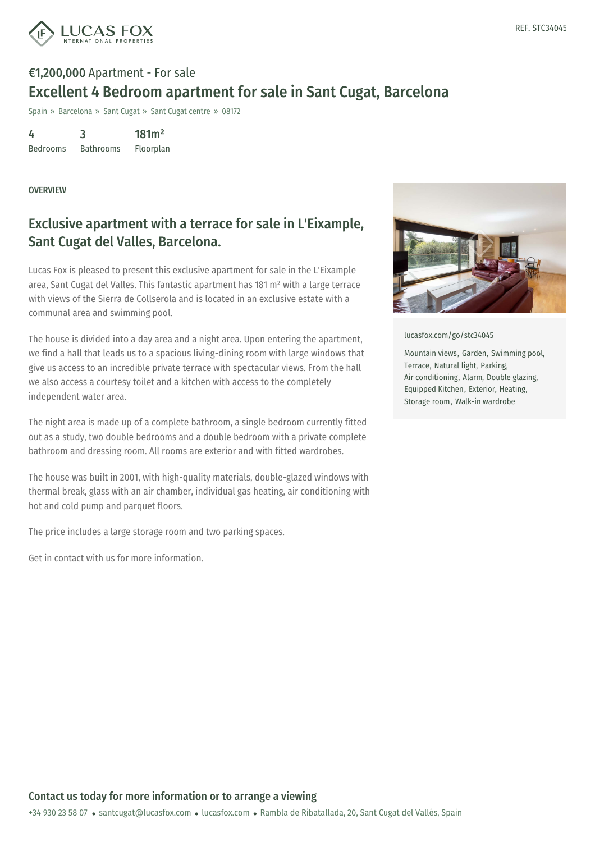

# €1,200,000 Apartment - For sale Excellent 4 Bedroom apartment for sale in Sant Cugat, Barcelona

Spain » Barcelona » Sant Cugat » Sant Cugat centre » 08172

4 Bedrooms 3 Bathrooms 181m² Floorplan

#### OVERVIEW

## Exclusive apartment with a terrace for sale in L'Eixample, Sant Cugat del Valles, Barcelona.

Lucas Fox is pleased to present this exclusive apartment for sale in the L'Eixample area, Sant Cugat del Valles. This fantastic apartment has 181 m² with a large terrace with views of the Sierra de Collserola and is located in an exclusive estate with a communal area and swimming pool.

The house is divided into a day area and a night area. Upon entering the apartment, we find a hall that leads us to a spacious living-dining room with large windows that give us access to an incredible private terrace with spectacular views. From the hall we also access a courtesy toilet and a kitchen with access to the completely independent water area.

The night area is made up of a complete bathroom, a single bedroom currently fitted out as a study, two double bedrooms and a double bedroom with a private complete bathroom and dressing room. All rooms are exterior and with fitted wardrobes.

The house was built in 2001, with high-quality materials, double-glazed windows with thermal break, glass with an air chamber, individual gas heating, air conditioning with hot and cold pump and parquet floors.

The price includes a large storage room and two parking spaces.

Get in contact with us for more information.



[lucasfox.com/go/stc34045](https://www.lucasfox.com/go/stc34045)

Mountain views, Garden, Swimming pool, Terrace, Natural light, Parking, Air conditioning, Alarm, Double glazing, Equipped Kitchen, Exterior, Heating, Storage room, Walk-in wardrobe